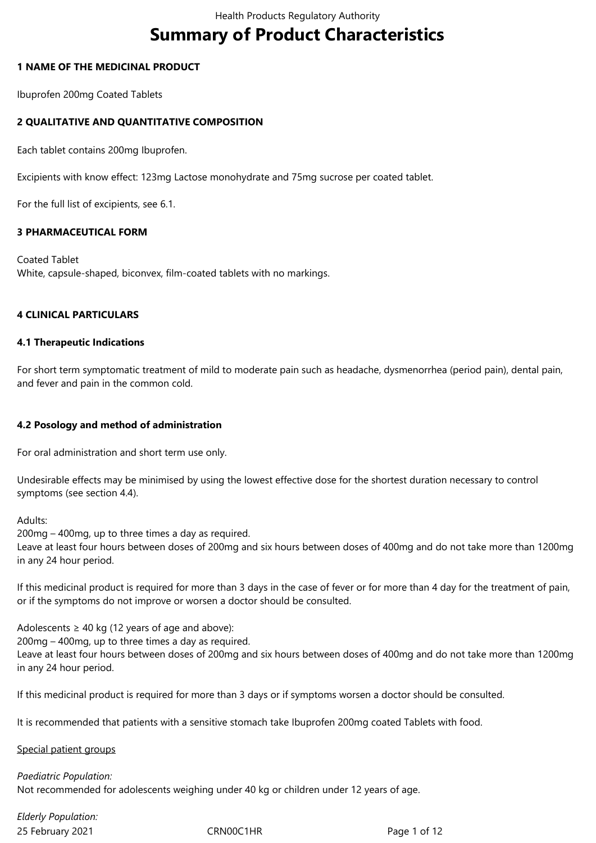# **Summary of Product Characteristics**

## **1 NAME OF THE MEDICINAL PRODUCT**

Ibuprofen 200mg Coated Tablets

# **2 QUALITATIVE AND QUANTITATIVE COMPOSITION**

Each tablet contains 200mg Ibuprofen.

Excipients with know effect: 123mg Lactose monohydrate and 75mg sucrose per coated tablet.

For the full list of excipients, see 6.1.

## **3 PHARMACEUTICAL FORM**

Coated Tablet White, capsule-shaped, biconvex, film-coated tablets with no markings.

## **4 CLINICAL PARTICULARS**

## **4.1 Therapeutic Indications**

For short term symptomatic treatment of mild to moderate pain such as headache, dysmenorrhea (period pain), dental pain, and fever and pain in the common cold.

# **4.2 Posology and method of administration**

For oral administration and short term use only.

Undesirable effects may be minimised by using the lowest effective dose for the shortest duration necessary to control symptoms (see section 4.4).

Adults:

200mg – 400mg, up to three times a day as required.

Leave at least four hours between doses of 200mg and six hours between doses of 400mg and do not take more than 1200mg in any 24 hour period.

If this medicinal product is required for more than 3 days in the case of fever or for more than 4 day for the treatment of pain, or if the symptoms do not improve or worsen a doctor should be consulted.

Adolescents  $\geq 40$  kg (12 years of age and above):

200mg – 400mg, up to three times a day as required. Leave at least four hours between doses of 200mg and six hours between doses of 400mg and do not take more than 1200mg in any 24 hour period.

If this medicinal product is required for more than 3 days or if symptoms worsen a doctor should be consulted.

It is recommended that patients with a sensitive stomach take Ibuprofen 200mg coated Tablets with food.

## Special patient groups

*Paediatric Population:* Not recommended for adolescents weighing under 40 kg or children under 12 years of age.

25 February 2021 **CRNOOC1HR** Page 1 of 12 *Elderly Population:*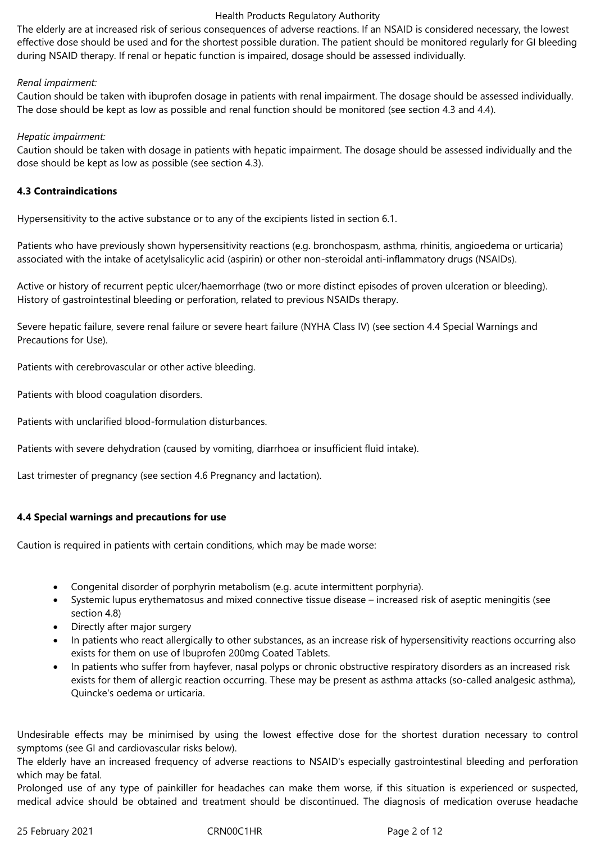The elderly are at increased risk of serious consequences of adverse reactions. If an NSAID is considered necessary, the lowest effective dose should be used and for the shortest possible duration. The patient should be monitored regularly for GI bleeding during NSAID therapy. If renal or hepatic function is impaired, dosage should be assessed individually.

## *Renal impairment:*

Caution should be taken with ibuprofen dosage in patients with renal impairment. The dosage should be assessed individually. The dose should be kept as low as possible and renal function should be monitored (see section 4.3 and 4.4).

## *Hepatic impairment:*

Caution should be taken with dosage in patients with hepatic impairment. The dosage should be assessed individually and the dose should be kept as low as possible (see section 4.3).

## **4.3 Contraindications**

Hypersensitivity to the active substance or to any of the excipients listed in section 6.1.

Patients who have previously shown hypersensitivity reactions (e.g. bronchospasm, asthma, rhinitis, angioedema or urticaria) associated with the intake of acetylsalicylic acid (aspirin) or other non-steroidal anti-inflammatory drugs (NSAIDs).

Active or history of recurrent peptic ulcer/haemorrhage (two or more distinct episodes of proven ulceration or bleeding). History of gastrointestinal bleeding or perforation, related to previous NSAIDs therapy.

Severe hepatic failure, severe renal failure or severe heart failure (NYHA Class IV) (see section 4.4 Special Warnings and Precautions for Use).

Patients with cerebrovascular or other active bleeding.

Patients with blood coagulation disorders.

Patients with unclarified blood-formulation disturbances.

Patients with severe dehydration (caused by vomiting, diarrhoea or insufficient fluid intake).

Last trimester of pregnancy (see section 4.6 Pregnancy and lactation).

# **4.4 Special warnings and precautions for use**

Caution is required in patients with certain conditions, which may be made worse:

- Congenital disorder of porphyrin metabolism (e.g. acute intermittent porphyria).
- Systemic lupus erythematosus and mixed connective tissue disease increased risk of aseptic meningitis (see section 4.8)
- Directly after major surgery
- In patients who react allergically to other substances, as an increase risk of hypersensitivity reactions occurring also exists for them on use of Ibuprofen 200mg Coated Tablets.
- In patients who suffer from hayfever, nasal polyps or chronic obstructive respiratory disorders as an increased risk exists for them of allergic reaction occurring. These may be present as asthma attacks (so-called analgesic asthma), Quincke's oedema or urticaria.

Undesirable effects may be minimised by using the lowest effective dose for the shortest duration necessary to control symptoms (see GI and cardiovascular risks below).

The elderly have an increased frequency of adverse reactions to NSAID's especially gastrointestinal bleeding and perforation which may be fatal.

Prolonged use of any type of painkiller for headaches can make them worse, if this situation is experienced or suspected, medical advice should be obtained and treatment should be discontinued. The diagnosis of medication overuse headache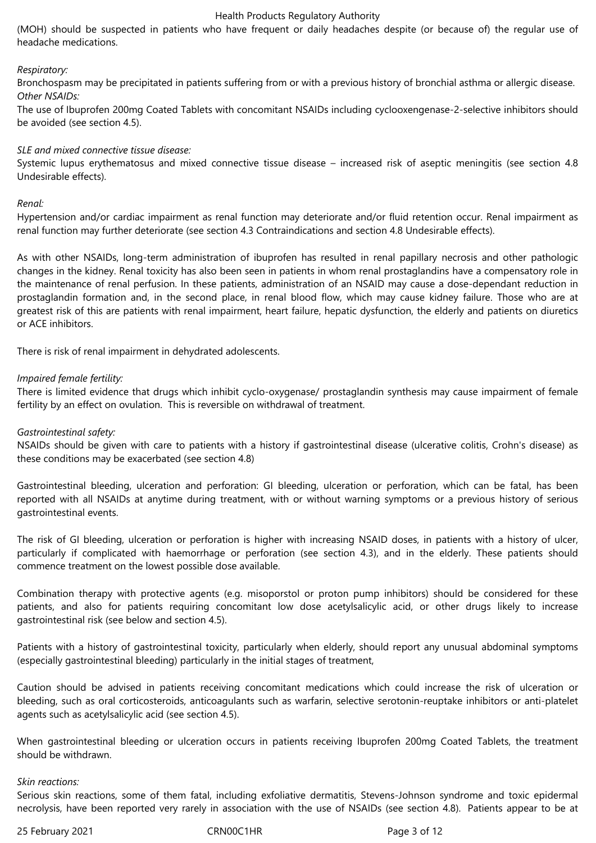(MOH) should be suspected in patients who have frequent or daily headaches despite (or because of) the regular use of headache medications.

## *Respiratory:*

Bronchospasm may be precipitated in patients suffering from or with a previous history of bronchial asthma or allergic disease. *Other NSAIDs:*

The use of Ibuprofen 200mg Coated Tablets with concomitant NSAIDs including cyclooxengenase-2-selective inhibitors should be avoided (see section 4.5).

#### *SLE and mixed connective tissue disease:*

Systemic lupus erythematosus and mixed connective tissue disease – increased risk of aseptic meningitis (see section 4.8 Undesirable effects).

#### *Renal:*

Hypertension and/or cardiac impairment as renal function may deteriorate and/or fluid retention occur. Renal impairment as renal function may further deteriorate (see section 4.3 Contraindications and section 4.8 Undesirable effects).

As with other NSAIDs, long-term administration of ibuprofen has resulted in renal papillary necrosis and other pathologic changes in the kidney. Renal toxicity has also been seen in patients in whom renal prostaglandins have a compensatory role in the maintenance of renal perfusion. In these patients, administration of an NSAID may cause a dose-dependant reduction in prostaglandin formation and, in the second place, in renal blood flow, which may cause kidney failure. Those who are at greatest risk of this are patients with renal impairment, heart failure, hepatic dysfunction, the elderly and patients on diuretics or ACE inhibitors.

There is risk of renal impairment in dehydrated adolescents.

#### *Impaired female fertility:*

There is limited evidence that drugs which inhibit cyclo-oxygenase/ prostaglandin synthesis may cause impairment of female fertility by an effect on ovulation. This is reversible on withdrawal of treatment.

## *Gastrointestinal safety:*

NSAIDs should be given with care to patients with a history if gastrointestinal disease (ulcerative colitis, Crohn's disease) as these conditions may be exacerbated (see section 4.8)

Gastrointestinal bleeding, ulceration and perforation: GI bleeding, ulceration or perforation, which can be fatal, has been reported with all NSAIDs at anytime during treatment, with or without warning symptoms or a previous history of serious gastrointestinal events.

The risk of GI bleeding, ulceration or perforation is higher with increasing NSAID doses, in patients with a history of ulcer, particularly if complicated with haemorrhage or perforation (see section 4.3), and in the elderly. These patients should commence treatment on the lowest possible dose available.

Combination therapy with protective agents (e.g. misoporstol or proton pump inhibitors) should be considered for these patients, and also for patients requiring concomitant low dose acetylsalicylic acid, or other drugs likely to increase gastrointestinal risk (see below and section 4.5).

Patients with a history of gastrointestinal toxicity, particularly when elderly, should report any unusual abdominal symptoms (especially gastrointestinal bleeding) particularly in the initial stages of treatment,

Caution should be advised in patients receiving concomitant medications which could increase the risk of ulceration or bleeding, such as oral corticosteroids, anticoagulants such as warfarin, selective serotonin-reuptake inhibitors or anti-platelet agents such as acetylsalicylic acid (see section 4.5).

When gastrointestinal bleeding or ulceration occurs in patients receiving Ibuprofen 200mg Coated Tablets, the treatment should be withdrawn.

#### *Skin reactions:*

Serious skin reactions, some of them fatal, including exfoliative dermatitis, Stevens-Johnson syndrome and toxic epidermal necrolysis, have been reported very rarely in association with the use of NSAIDs (see section 4.8). Patients appear to be at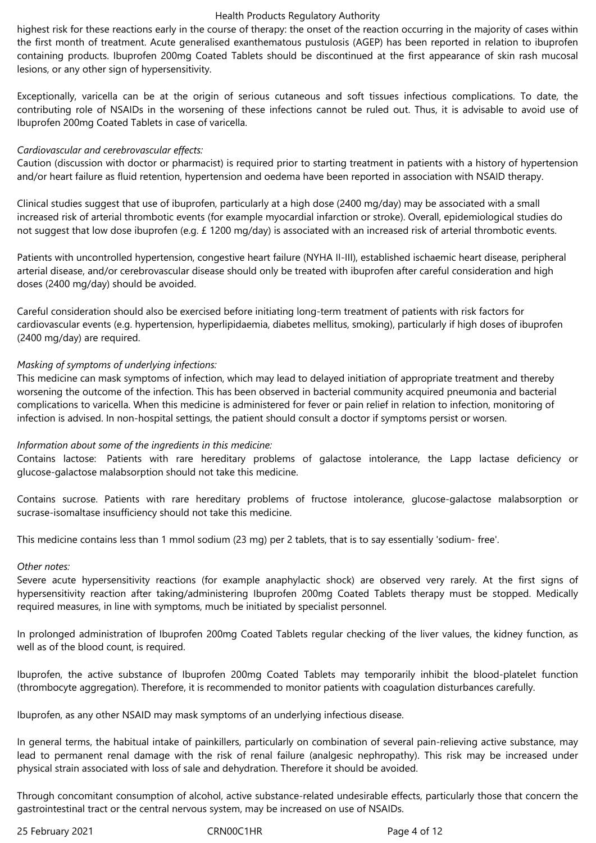highest risk for these reactions early in the course of therapy: the onset of the reaction occurring in the majority of cases within the first month of treatment. Acute generalised exanthematous pustulosis (AGEP) has been reported in relation to ibuprofen containing products. Ibuprofen 200mg Coated Tablets should be discontinued at the first appearance of skin rash mucosal lesions, or any other sign of hypersensitivity.

Exceptionally, varicella can be at the origin of serious cutaneous and soft tissues infectious complications. To date, the contributing role of NSAIDs in the worsening of these infections cannot be ruled out. Thus, it is advisable to avoid use of Ibuprofen 200mg Coated Tablets in case of varicella.

## *Cardiovascular and cerebrovascular effects:*

Caution (discussion with doctor or pharmacist) is required prior to starting treatment in patients with a history of hypertension and/or heart failure as fluid retention, hypertension and oedema have been reported in association with NSAID therapy.

Clinical studies suggest that use of ibuprofen, particularly at a high dose (2400 mg/day) may be associated with a small increased risk of arterial thrombotic events (for example myocardial infarction or stroke). Overall, epidemiological studies do not suggest that low dose ibuprofen (e.g. £ 1200 mg/day) is associated with an increased risk of arterial thrombotic events.

Patients with uncontrolled hypertension, congestive heart failure (NYHA II-III), established ischaemic heart disease, peripheral arterial disease, and/or cerebrovascular disease should only be treated with ibuprofen after careful consideration and high doses (2400 mg/day) should be avoided.

Careful consideration should also be exercised before initiating long-term treatment of patients with risk factors for cardiovascular events (e.g. hypertension, hyperlipidaemia, diabetes mellitus, smoking), particularly if high doses of ibuprofen (2400 mg/day) are required.

## *Masking of symptoms of underlying infections:*

This medicine can mask symptoms of infection, which may lead to delayed initiation of appropriate treatment and thereby worsening the outcome of the infection. This has been observed in bacterial community acquired pneumonia and bacterial complications to varicella. When this medicine is administered for fever or pain relief in relation to infection, monitoring of infection is advised. In non-hospital settings, the patient should consult a doctor if symptoms persist or worsen.

## *Information about some of the ingredients in this medicine:*

Contains lactose: Patients with rare hereditary problems of galactose intolerance, the Lapp lactase deficiency or glucose-galactose malabsorption should not take this medicine.

Contains sucrose. Patients with rare hereditary problems of fructose intolerance, glucose-galactose malabsorption or sucrase-isomaltase insufficiency should not take this medicine.

This medicine contains less than 1 mmol sodium (23 mg) per 2 tablets, that is to say essentially 'sodium- free'.

## *Other notes:*

Severe acute hypersensitivity reactions (for example anaphylactic shock) are observed very rarely. At the first signs of hypersensitivity reaction after taking/administering Ibuprofen 200mg Coated Tablets therapy must be stopped. Medically required measures, in line with symptoms, much be initiated by specialist personnel.

In prolonged administration of Ibuprofen 200mg Coated Tablets regular checking of the liver values, the kidney function, as well as of the blood count, is required.

Ibuprofen, the active substance of Ibuprofen 200mg Coated Tablets may temporarily inhibit the blood-platelet function (thrombocyte aggregation). Therefore, it is recommended to monitor patients with coagulation disturbances carefully.

Ibuprofen, as any other NSAID may mask symptoms of an underlying infectious disease.

In general terms, the habitual intake of painkillers, particularly on combination of several pain-relieving active substance, may lead to permanent renal damage with the risk of renal failure (analgesic nephropathy). This risk may be increased under physical strain associated with loss of sale and dehydration. Therefore it should be avoided.

Through concomitant consumption of alcohol, active substance-related undesirable effects, particularly those that concern the gastrointestinal tract or the central nervous system, may be increased on use of NSAIDs.

25 February 2021 CRN00C1HR Page 4 of 12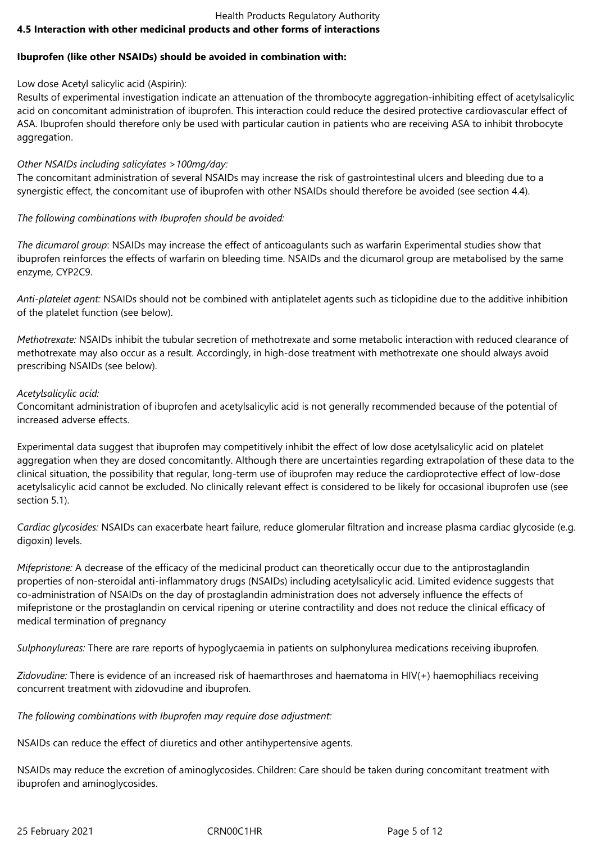## Health Products Regulatory Authority **4.5 Interaction with other medicinal products and other forms of interactions**

# **Ibuprofen (like other NSAIDs) should be avoided in combination with:**

# Low dose Acetyl salicylic acid (Aspirin):

Results of experimental investigation indicate an attenuation of the thrombocyte aggregation-inhibiting effect of acetylsalicylic acid on concomitant administration of ibuprofen. This interaction could reduce the desired protective cardiovascular effect of ASA. Ibuprofen should therefore only be used with particular caution in patients who are receiving ASA to inhibit throbocyte aggregation.

# *Other NSAIDs including salicylates >100mg/day:*

The concomitant administration of several NSAIDs may increase the risk of gastrointestinal ulcers and bleeding due to a synergistic effect, the concomitant use of ibuprofen with other NSAIDs should therefore be avoided (see section 4.4).

# *The following combinations with Ibuprofen should be avoided:*

*The dicumarol group*: NSAIDs may increase the effect of anticoagulants such as warfarin Experimental studies show that ibuprofen reinforces the effects of warfarin on bleeding time. NSAIDs and the dicumarol group are metabolised by the same enzyme, CYP2C9.

*Anti-platelet agent:* NSAIDs should not be combined with antiplatelet agents such as ticlopidine due to the additive inhibition of the platelet function (see below).

*Methotrexate:* NSAIDs inhibit the tubular secretion of methotrexate and some metabolic interaction with reduced clearance of methotrexate may also occur as a result. Accordingly, in high-dose treatment with methotrexate one should always avoid prescribing NSAIDs (see below).

# *Acetylsalicylic acid:*

Concomitant administration of ibuprofen and acetylsalicylic acid is not generally recommended because of the potential of increased adverse effects.

Experimental data suggest that ibuprofen may competitively inhibit the effect of low dose acetylsalicylic acid on platelet aggregation when they are dosed concomitantly. Although there are uncertainties regarding extrapolation of these data to the clinical situation, the possibility that regular, long-term use of ibuprofen may reduce the cardioprotective effect of low-dose acetylsalicylic acid cannot be excluded. No clinically relevant effect is considered to be likely for occasional ibuprofen use (see section 5.1).

*Cardiac glycosides:* NSAIDs can exacerbate heart failure, reduce glomerular filtration and increase plasma cardiac glycoside (e.g. digoxin) levels.

*Mifepristone:* A decrease of the efficacy of the medicinal product can theoretically occur due to the antiprostaglandin properties of non-steroidal anti-inflammatory drugs (NSAIDs) including acetylsalicylic acid. Limited evidence suggests that co-administration of NSAIDs on the day of prostaglandin administration does not adversely influence the effects of mifepristone or the prostaglandin on cervical ripening or uterine contractility and does not reduce the clinical efficacy of medical termination of pregnancy

*Sulphonylureas:* There are rare reports of hypoglycaemia in patients on sulphonylurea medications receiving ibuprofen.

*Zidovudine:* There is evidence of an increased risk of haemarthroses and haematoma in HIV(+) haemophiliacs receiving concurrent treatment with zidovudine and ibuprofen.

*The following combinations with Ibuprofen may require dose adjustment:*

NSAIDs can reduce the effect of diuretics and other antihypertensive agents.

NSAIDs may reduce the excretion of aminoglycosides. Children: Care should be taken during concomitant treatment with ibuprofen and aminoglycosides.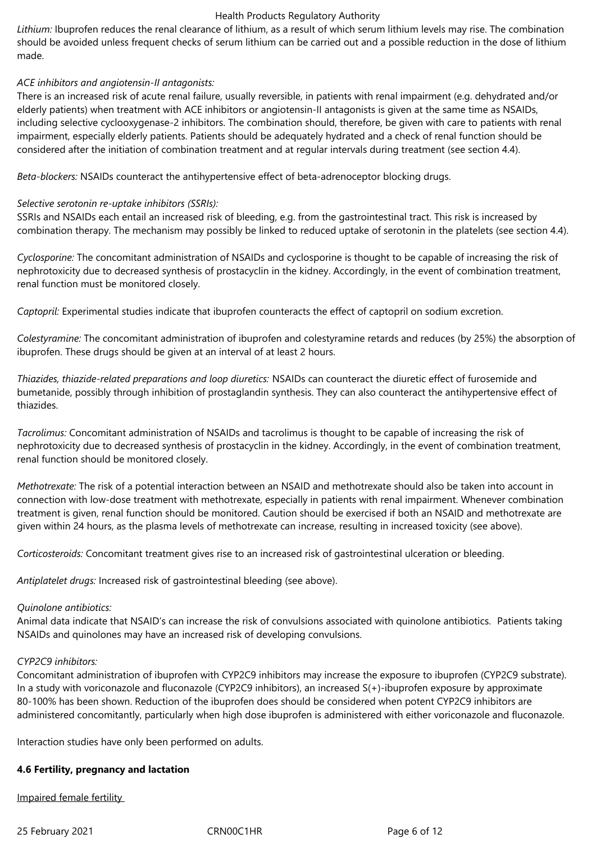*Lithium:* Ibuprofen reduces the renal clearance of lithium, as a result of which serum lithium levels may rise. The combination should be avoided unless frequent checks of serum lithium can be carried out and a possible reduction in the dose of lithium made.

## *ACE inhibitors and angiotensin-II antagonists:*

There is an increased risk of acute renal failure, usually reversible, in patients with renal impairment (e.g. dehydrated and/or elderly patients) when treatment with ACE inhibitors or angiotensin-II antagonists is given at the same time as NSAIDs, including selective cyclooxygenase-2 inhibitors. The combination should, therefore, be given with care to patients with renal impairment, especially elderly patients. Patients should be adequately hydrated and a check of renal function should be considered after the initiation of combination treatment and at regular intervals during treatment (see section 4.4).

*Beta-blockers:* NSAIDs counteract the antihypertensive effect of beta-adrenoceptor blocking drugs.

## *Selective serotonin re-uptake inhibitors (SSRIs):*

SSRIs and NSAIDs each entail an increased risk of bleeding, e.g. from the gastrointestinal tract. This risk is increased by combination therapy. The mechanism may possibly be linked to reduced uptake of serotonin in the platelets (see section 4.4).

*Cyclosporine:* The concomitant administration of NSAIDs and cyclosporine is thought to be capable of increasing the risk of nephrotoxicity due to decreased synthesis of prostacyclin in the kidney. Accordingly, in the event of combination treatment, renal function must be monitored closely.

*Captopril:* Experimental studies indicate that ibuprofen counteracts the effect of captopril on sodium excretion.

*Colestyramine:* The concomitant administration of ibuprofen and colestyramine retards and reduces (by 25%) the absorption of ibuprofen. These drugs should be given at an interval of at least 2 hours.

*Thiazides, thiazide-related preparations and loop diuretics:* NSAIDs can counteract the diuretic effect of furosemide and bumetanide, possibly through inhibition of prostaglandin synthesis. They can also counteract the antihypertensive effect of thiazides.

*Tacrolimus:* Concomitant administration of NSAIDs and tacrolimus is thought to be capable of increasing the risk of nephrotoxicity due to decreased synthesis of prostacyclin in the kidney. Accordingly, in the event of combination treatment, renal function should be monitored closely.

*Methotrexate:* The risk of a potential interaction between an NSAID and methotrexate should also be taken into account in connection with low-dose treatment with methotrexate, especially in patients with renal impairment. Whenever combination treatment is given, renal function should be monitored. Caution should be exercised if both an NSAID and methotrexate are given within 24 hours, as the plasma levels of methotrexate can increase, resulting in increased toxicity (see above).

*Corticosteroids:* Concomitant treatment gives rise to an increased risk of gastrointestinal ulceration or bleeding.

*Antiplatelet drugs:* Increased risk of gastrointestinal bleeding (see above).

## *Quinolone antibiotics:*

Animal data indicate that NSAID's can increase the risk of convulsions associated with quinolone antibiotics. Patients taking NSAIDs and quinolones may have an increased risk of developing convulsions.

## *CYP2C9 inhibitors:*

Concomitant administration of ibuprofen with CYP2C9 inhibitors may increase the exposure to ibuprofen (CYP2C9 substrate). In a study with voriconazole and fluconazole (CYP2C9 inhibitors), an increased S(+)-ibuprofen exposure by approximate 80-100% has been shown. Reduction of the ibuprofen does should be considered when potent CYP2C9 inhibitors are administered concomitantly, particularly when high dose ibuprofen is administered with either voriconazole and fluconazole.

Interaction studies have only been performed on adults.

## **4.6 Fertility, pregnancy and lactation**

Impaired female fertility

25 February 2021 CRN00C1HR Page 6 of 12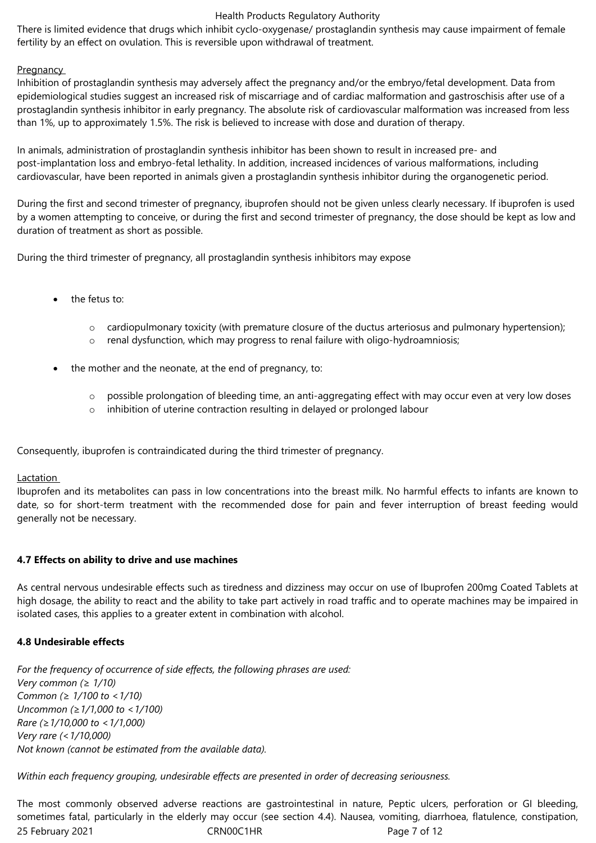There is limited evidence that drugs which inhibit cyclo-oxygenase/ prostaglandin synthesis may cause impairment of female fertility by an effect on ovulation. This is reversible upon withdrawal of treatment.

# **Pregnancy**

Inhibition of prostaglandin synthesis may adversely affect the pregnancy and/or the embryo/fetal development. Data from epidemiological studies suggest an increased risk of miscarriage and of cardiac malformation and gastroschisis after use of a prostaglandin synthesis inhibitor in early pregnancy. The absolute risk of cardiovascular malformation was increased from less than 1%, up to approximately 1.5%. The risk is believed to increase with dose and duration of therapy.

In animals, administration of prostaglandin synthesis inhibitor has been shown to result in increased pre- and post-implantation loss and embryo-fetal lethality. In addition, increased incidences of various malformations, including cardiovascular, have been reported in animals given a prostaglandin synthesis inhibitor during the organogenetic period.

During the first and second trimester of pregnancy, ibuprofen should not be given unless clearly necessary. If ibuprofen is used by a women attempting to conceive, or during the first and second trimester of pregnancy, the dose should be kept as low and duration of treatment as short as possible.

During the third trimester of pregnancy, all prostaglandin synthesis inhibitors may expose

- the fetus to:
	- o cardiopulmonary toxicity (with premature closure of the ductus arteriosus and pulmonary hypertension);
	- o renal dysfunction, which may progress to renal failure with oligo-hydroamniosis;
- the mother and the neonate, at the end of pregnancy, to:
	- o possible prolongation of bleeding time, an anti-aggregating effect with may occur even at very low doses
	- o inhibition of uterine contraction resulting in delayed or prolonged labour

Consequently, ibuprofen is contraindicated during the third trimester of pregnancy.

# Lactation

Ibuprofen and its metabolites can pass in low concentrations into the breast milk. No harmful effects to infants are known to date, so for short-term treatment with the recommended dose for pain and fever interruption of breast feeding would generally not be necessary.

# **4.7 Effects on ability to drive and use machines**

As central nervous undesirable effects such as tiredness and dizziness may occur on use of Ibuprofen 200mg Coated Tablets at high dosage, the ability to react and the ability to take part actively in road traffic and to operate machines may be impaired in isolated cases, this applies to a greater extent in combination with alcohol.

# **4.8 Undesirable effects**

*For the frequency of occurrence of side effects, the following phrases are used: Very common (≥ 1/10) Common (≥ 1/100 to <1/10) Uncommon (≥1/1,000 to <1/100) Rare (≥1/10,000 to <1/1,000) Very rare (<1/10,000) Not known (cannot be estimated from the available data).*

*Within each frequency grouping, undesirable effects are presented in order of decreasing seriousness.*

25 February 2021 CRN00C1HR Page 7 of 12 The most commonly observed adverse reactions are gastrointestinal in nature, Peptic ulcers, perforation or GI bleeding, sometimes fatal, particularly in the elderly may occur (see section 4.4). Nausea, vomiting, diarrhoea, flatulence, constipation,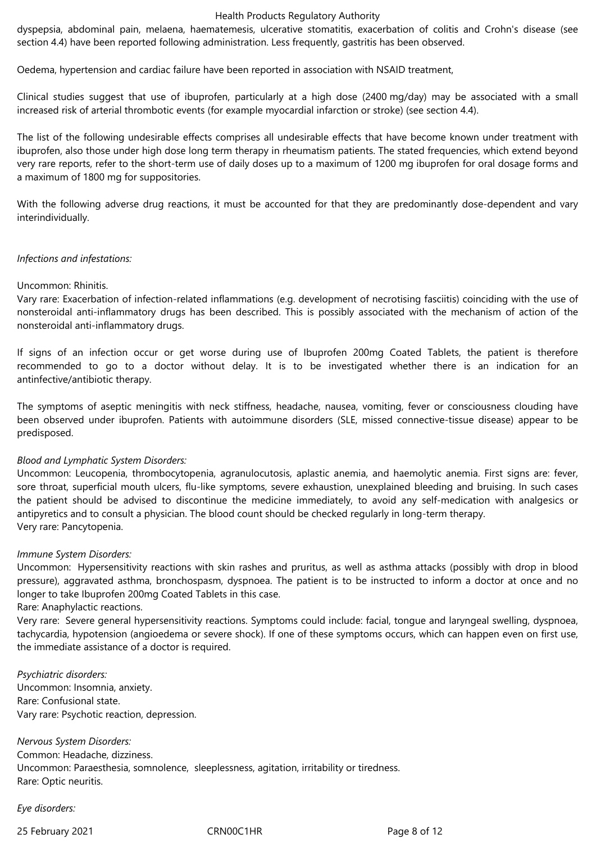dyspepsia, abdominal pain, melaena, haematemesis, ulcerative stomatitis, exacerbation of colitis and Crohn's disease (see section 4.4) have been reported following administration. Less frequently, gastritis has been observed.

Oedema, hypertension and cardiac failure have been reported in association with NSAID treatment,

Clinical studies suggest that use of ibuprofen, particularly at a high dose (2400 mg/day) may be associated with a small increased risk of arterial thrombotic events (for example myocardial infarction or stroke) (see section 4.4).

The list of the following undesirable effects comprises all undesirable effects that have become known under treatment with ibuprofen, also those under high dose long term therapy in rheumatism patients. The stated frequencies, which extend beyond very rare reports, refer to the short-term use of daily doses up to a maximum of 1200 mg ibuprofen for oral dosage forms and a maximum of 1800 mg for suppositories.

With the following adverse drug reactions, it must be accounted for that they are predominantly dose-dependent and vary interindividually.

#### *Infections and infestations:*

#### Uncommon: Rhinitis.

Vary rare: Exacerbation of infection-related inflammations (e.g. development of necrotising fasciitis) coinciding with the use of nonsteroidal anti-inflammatory drugs has been described. This is possibly associated with the mechanism of action of the nonsteroidal anti-inflammatory drugs.

If signs of an infection occur or get worse during use of Ibuprofen 200mg Coated Tablets, the patient is therefore recommended to go to a doctor without delay. It is to be investigated whether there is an indication for an antinfective/antibiotic therapy.

The symptoms of aseptic meningitis with neck stiffness, headache, nausea, vomiting, fever or consciousness clouding have been observed under ibuprofen. Patients with autoimmune disorders (SLE, missed connective-tissue disease) appear to be predisposed.

#### *Blood and Lymphatic System Disorders:*

Uncommon: Leucopenia, thrombocytopenia, agranulocutosis, aplastic anemia, and haemolytic anemia. First signs are: fever, sore throat, superficial mouth ulcers, flu-like symptoms, severe exhaustion, unexplained bleeding and bruising. In such cases the patient should be advised to discontinue the medicine immediately, to avoid any self-medication with analgesics or antipyretics and to consult a physician. The blood count should be checked regularly in long-term therapy. Very rare: Pancytopenia.

#### *Immune System Disorders:*

Uncommon: Hypersensitivity reactions with skin rashes and pruritus, as well as asthma attacks (possibly with drop in blood pressure), aggravated asthma, bronchospasm, dyspnoea. The patient is to be instructed to inform a doctor at once and no longer to take Ibuprofen 200mg Coated Tablets in this case.

Rare: Anaphylactic reactions.

Very rare: Severe general hypersensitivity reactions. Symptoms could include: facial, tongue and laryngeal swelling, dyspnoea, tachycardia, hypotension (angioedema or severe shock). If one of these symptoms occurs, which can happen even on first use, the immediate assistance of a doctor is required.

*Psychiatric disorders:* Uncommon: Insomnia, anxiety. Rare: Confusional state. Vary rare: Psychotic reaction, depression.

*Nervous System Disorders:* Common: Headache, dizziness. Uncommon: Paraesthesia, somnolence, sleeplessness, agitation, irritability or tiredness. Rare: Optic neuritis.

*Eye disorders:*

25 February 2021 **CRNOOC1HR** Page 8 of 12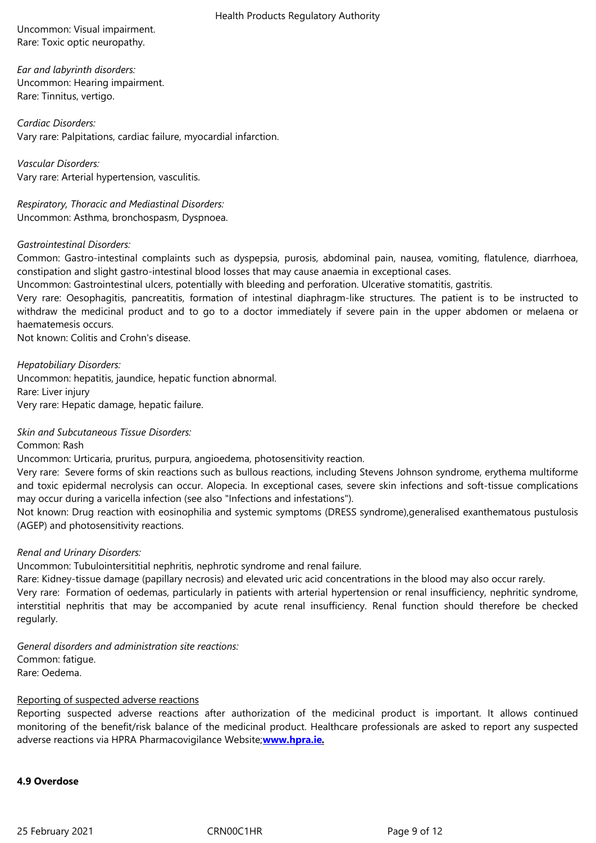*Ear and labyrinth disorders:* Uncommon: Hearing impairment. Rare: Tinnitus, vertigo.

*Cardiac Disorders:* Vary rare: Palpitations, cardiac failure, myocardial infarction.

*Vascular Disorders:* Vary rare: Arterial hypertension, vasculitis.

*Respiratory, Thoracic and Mediastinal Disorders:* Uncommon: Asthma, bronchospasm, Dyspnoea.

## *Gastrointestinal Disorders:*

Common: Gastro-intestinal complaints such as dyspepsia, purosis, abdominal pain, nausea, vomiting, flatulence, diarrhoea, constipation and slight gastro-intestinal blood losses that may cause anaemia in exceptional cases.

Uncommon: Gastrointestinal ulcers, potentially with bleeding and perforation. Ulcerative stomatitis, gastritis.

Very rare: Oesophagitis, pancreatitis, formation of intestinal diaphragm-like structures. The patient is to be instructed to withdraw the medicinal product and to go to a doctor immediately if severe pain in the upper abdomen or melaena or haematemesis occurs.

Not known: Colitis and Crohn's disease.

*Hepatobiliary Disorders:* Uncommon: hepatitis, jaundice, hepatic function abnormal. Rare: Liver injury Very rare: Hepatic damage, hepatic failure.

*Skin and Subcutaneous Tissue Disorders:*

Common: Rash

Uncommon: Urticaria, pruritus, purpura, angioedema, photosensitivity reaction.

Very rare: Severe forms of skin reactions such as bullous reactions, including Stevens Johnson syndrome, erythema multiforme and toxic epidermal necrolysis can occur. Alopecia. In exceptional cases, severe skin infections and soft-tissue complications may occur during a varicella infection (see also "Infections and infestations").

Not known: Drug reaction with eosinophilia and systemic symptoms (DRESS syndrome),generalised exanthematous pustulosis (AGEP) and photosensitivity reactions.

## *Renal and Urinary Disorders:*

Uncommon: Tubulointersititial nephritis, nephrotic syndrome and renal failure.

Rare: Kidney-tissue damage (papillary necrosis) and elevated uric acid concentrations in the blood may also occur rarely.

Very rare: Formation of oedemas, particularly in patients with arterial hypertension or renal insufficiency, nephritic syndrome, interstitial nephritis that may be accompanied by acute renal insufficiency. Renal function should therefore be checked regularly.

*General disorders and administration site reactions:* Common: fatigue. Rare: Oedema.

# Reporting of suspected adverse reactions

Reporting suspected adverse reactions after authorization of the medicinal product is important. It allows continued monitoring of the benefit/risk balance of the medicinal product. Healthcare professionals are asked to report any suspected adverse reactions via HPRA Pharmacovigilance Website;**www.hpra.ie.**

#### **4.9 Overdose**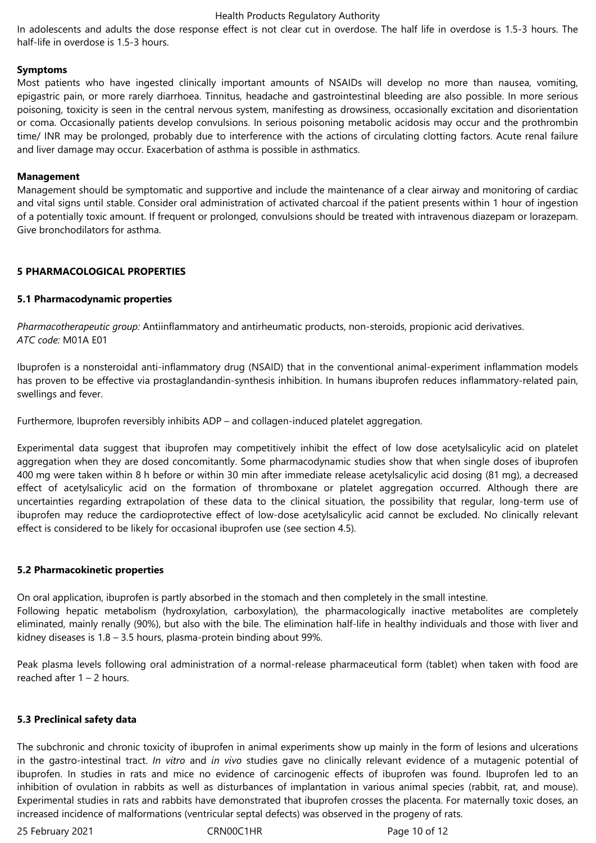In adolescents and adults the dose response effect is not clear cut in overdose. The half life in overdose is 1.5-3 hours. The half-life in overdose is 1.5-3 hours.

## **Symptoms**

Most patients who have ingested clinically important amounts of NSAIDs will develop no more than nausea, vomiting, epigastric pain, or more rarely diarrhoea. Tinnitus, headache and gastrointestinal bleeding are also possible. In more serious poisoning, toxicity is seen in the central nervous system, manifesting as drowsiness, occasionally excitation and disorientation or coma. Occasionally patients develop convulsions. In serious poisoning metabolic acidosis may occur and the prothrombin time/ INR may be prolonged, probably due to interference with the actions of circulating clotting factors. Acute renal failure and liver damage may occur. Exacerbation of asthma is possible in asthmatics.

#### **Management**

Management should be symptomatic and supportive and include the maintenance of a clear airway and monitoring of cardiac and vital signs until stable. Consider oral administration of activated charcoal if the patient presents within 1 hour of ingestion of a potentially toxic amount. If frequent or prolonged, convulsions should be treated with intravenous diazepam or lorazepam. Give bronchodilators for asthma.

## **5 PHARMACOLOGICAL PROPERTIES**

## **5.1 Pharmacodynamic properties**

*Pharmacotherapeutic group:* Antiinflammatory and antirheumatic products, non-steroids, propionic acid derivatives. *ATC code:* M01A E01

Ibuprofen is a nonsteroidal anti-inflammatory drug (NSAID) that in the conventional animal-experiment inflammation models has proven to be effective via prostaglandandin-synthesis inhibition. In humans ibuprofen reduces inflammatory-related pain, swellings and fever.

Furthermore, Ibuprofen reversibly inhibits ADP – and collagen-induced platelet aggregation.

Experimental data suggest that ibuprofen may competitively inhibit the effect of low dose acetylsalicylic acid on platelet aggregation when they are dosed concomitantly. Some pharmacodynamic studies show that when single doses of ibuprofen 400 mg were taken within 8 h before or within 30 min after immediate release acetylsalicylic acid dosing (81 mg), a decreased effect of acetylsalicylic acid on the formation of thromboxane or platelet aggregation occurred. Although there are uncertainties regarding extrapolation of these data to the clinical situation, the possibility that regular, long-term use of ibuprofen may reduce the cardioprotective effect of low-dose acetylsalicylic acid cannot be excluded. No clinically relevant effect is considered to be likely for occasional ibuprofen use (see section 4.5).

## **5.2 Pharmacokinetic properties**

On oral application, ibuprofen is partly absorbed in the stomach and then completely in the small intestine. Following hepatic metabolism (hydroxylation, carboxylation), the pharmacologically inactive metabolites are completely eliminated, mainly renally (90%), but also with the bile. The elimination half-life in healthy individuals and those with liver and kidney diseases is 1.8 – 3.5 hours, plasma-protein binding about 99%.

Peak plasma levels following oral administration of a normal-release pharmaceutical form (tablet) when taken with food are reached after 1 – 2 hours.

# **5.3 Preclinical safety data**

The subchronic and chronic toxicity of ibuprofen in animal experiments show up mainly in the form of lesions and ulcerations in the gastro-intestinal tract. *In vitro* and *in vivo* studies gave no clinically relevant evidence of a mutagenic potential of ibuprofen. In studies in rats and mice no evidence of carcinogenic effects of ibuprofen was found. Ibuprofen led to an inhibition of ovulation in rabbits as well as disturbances of implantation in various animal species (rabbit, rat, and mouse). Experimental studies in rats and rabbits have demonstrated that ibuprofen crosses the placenta. For maternally toxic doses, an increased incidence of malformations (ventricular septal defects) was observed in the progeny of rats.

25 February 2021 CRN00C1HR Page 10 of 12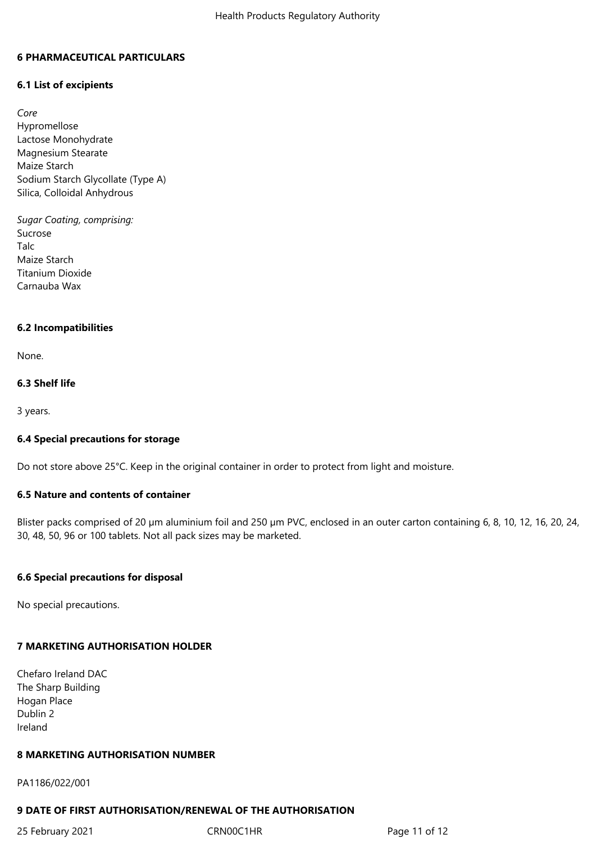#### **6 PHARMACEUTICAL PARTICULARS**

## **6.1 List of excipients**

*Core*  Hypromellose Lactose Monohydrate Magnesium Stearate Maize Starch Sodium Starch Glycollate (Type A) Silica, Colloidal Anhydrous

*Sugar Coating, comprising:*  Sucrose Talc Maize Starch Titanium Dioxide Carnauba Wax

#### **6.2 Incompatibilities**

None.

#### **6.3 Shelf life**

3 years.

#### **6.4 Special precautions for storage**

Do not store above 25°C. Keep in the original container in order to protect from light and moisture.

## **6.5 Nature and contents of container**

Blister packs comprised of 20 µm aluminium foil and 250 µm PVC, enclosed in an outer carton containing 6, 8, 10, 12, 16, 20, 24, 30, 48, 50, 96 or 100 tablets. Not all pack sizes may be marketed.

## **6.6 Special precautions for disposal**

No special precautions.

## **7 MARKETING AUTHORISATION HOLDER**

Chefaro Ireland DAC The Sharp Building Hogan Place Dublin 2 Ireland

#### **8 MARKETING AUTHORISATION NUMBER**

PA1186/022/001

# **9 DATE OF FIRST AUTHORISATION/RENEWAL OF THE AUTHORISATION**

25 February 2021 **CRN00C1HR** Page 11 of 12